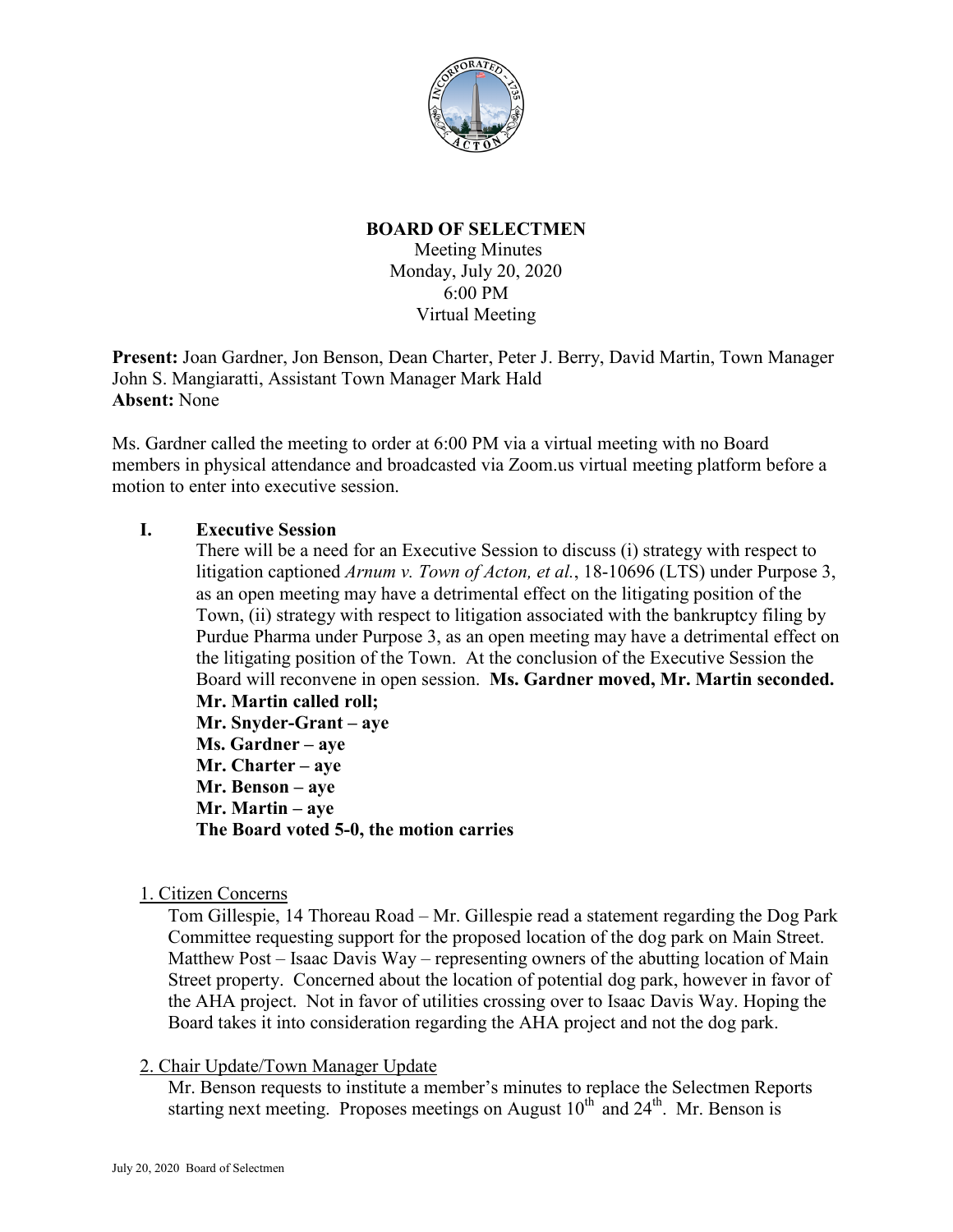

## **BOARD OF SELECTMEN**

Meeting Minutes Monday, July 20, 2020 6:00 PM Virtual Meeting

**Present:** Joan Gardner, Jon Benson, Dean Charter, Peter J. Berry, David Martin, Town Manager John S. Mangiaratti, Assistant Town Manager Mark Hald **Absent:** None

Ms. Gardner called the meeting to order at 6:00 PM via a virtual meeting with no Board members in physical attendance and broadcasted via Zoom.us virtual meeting platform before a motion to enter into executive session.

### **I. Executive Session**

There will be a need for an Executive Session to discuss (i) strategy with respect to litigation captioned *Arnum v. Town of Acton, et al.*, 18-10696 (LTS) under Purpose 3, as an open meeting may have a detrimental effect on the litigating position of the Town, (ii) strategy with respect to litigation associated with the bankruptcy filing by Purdue Pharma under Purpose 3, as an open meeting may have a detrimental effect on the litigating position of the Town. At the conclusion of the Executive Session the Board will reconvene in open session. **Ms. Gardner moved, Mr. Martin seconded. Mr. Martin called roll;**

**Mr. Snyder-Grant – aye Ms. Gardner – aye Mr. Charter – aye Mr. Benson – aye Mr. Martin – aye The Board voted 5-0, the motion carries**

#### 1. Citizen Concerns

Tom Gillespie, 14 Thoreau Road – Mr. Gillespie read a statement regarding the Dog Park Committee requesting support for the proposed location of the dog park on Main Street. Matthew Post – Isaac Davis Way – representing owners of the abutting location of Main Street property. Concerned about the location of potential dog park, however in favor of the AHA project. Not in favor of utilities crossing over to Isaac Davis Way. Hoping the Board takes it into consideration regarding the AHA project and not the dog park.

## 2. Chair Update/Town Manager Update

Mr. Benson requests to institute a member's minutes to replace the Selectmen Reports starting next meeting. Proposes meetings on August  $10^{th}$  and  $24^{th}$ . Mr. Benson is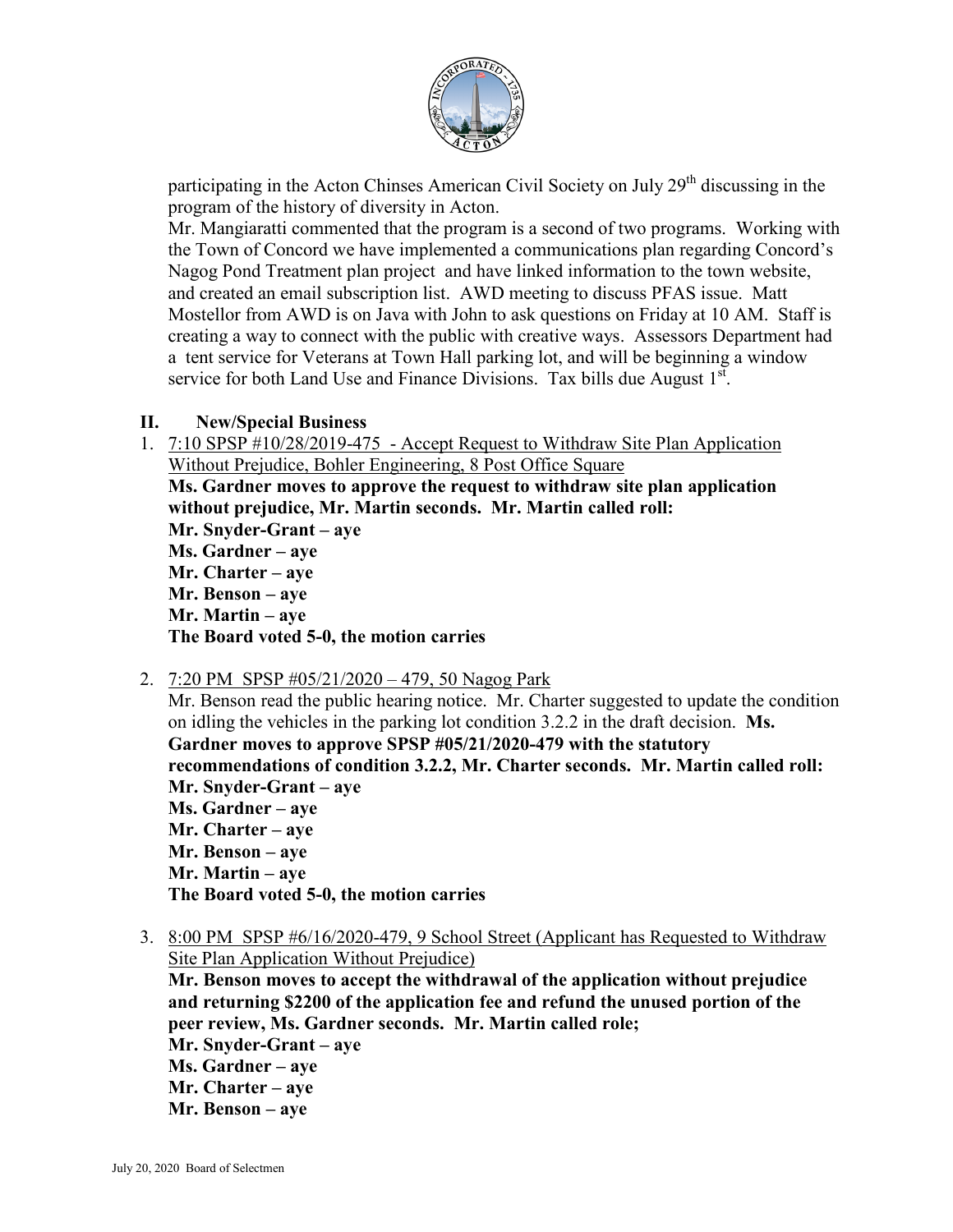

participating in the Acton Chinses American Civil Society on July 29<sup>th</sup> discussing in the program of the history of diversity in Acton.

Mr. Mangiaratti commented that the program is a second of two programs. Working with the Town of Concord we have implemented a communications plan regarding Concord's Nagog Pond Treatment plan project and have linked information to the town website, and created an email subscription list. AWD meeting to discuss PFAS issue. Matt Mostellor from AWD is on Java with John to ask questions on Friday at 10 AM. Staff is creating a way to connect with the public with creative ways. Assessors Department had a tent service for Veterans at Town Hall parking lot, and will be beginning a window service for both Land Use and Finance Divisions. Tax bills due August  $1^{st}$ .

# **II. New/Special Business**

- 1. 7:10 SPSP #10/28/2019-475 Accept Request to Withdraw Site Plan Application Without Prejudice, Bohler Engineering, 8 Post Office Square **Ms. Gardner moves to approve the request to withdraw site plan application without prejudice, Mr. Martin seconds. Mr. Martin called roll: Mr. Snyder-Grant – aye Ms. Gardner – aye Mr. Charter – aye Mr. Benson – aye Mr. Martin – aye The Board voted 5-0, the motion carries**
- 2. 7:20 PM SPSP #05/21/2020 479, 50 Nagog Park

Mr. Benson read the public hearing notice. Mr. Charter suggested to update the condition on idling the vehicles in the parking lot condition 3.2.2 in the draft decision. **Ms. Gardner moves to approve SPSP #05/21/2020-479 with the statutory recommendations of condition 3.2.2, Mr. Charter seconds. Mr. Martin called roll: Mr. Snyder-Grant – aye Ms. Gardner – aye Mr. Charter – aye Mr. Benson – aye Mr. Martin – aye The Board voted 5-0, the motion carries**

3. 8:00 PM SPSP #6/16/2020-479, 9 School Street (Applicant has Requested to Withdraw Site Plan Application Without Prejudice)

**Mr. Benson moves to accept the withdrawal of the application without prejudice and returning \$2200 of the application fee and refund the unused portion of the peer review, Ms. Gardner seconds. Mr. Martin called role;**

- **Mr. Snyder-Grant – aye**
- **Ms. Gardner – aye**
- **Mr. Charter – aye**
- **Mr. Benson – aye**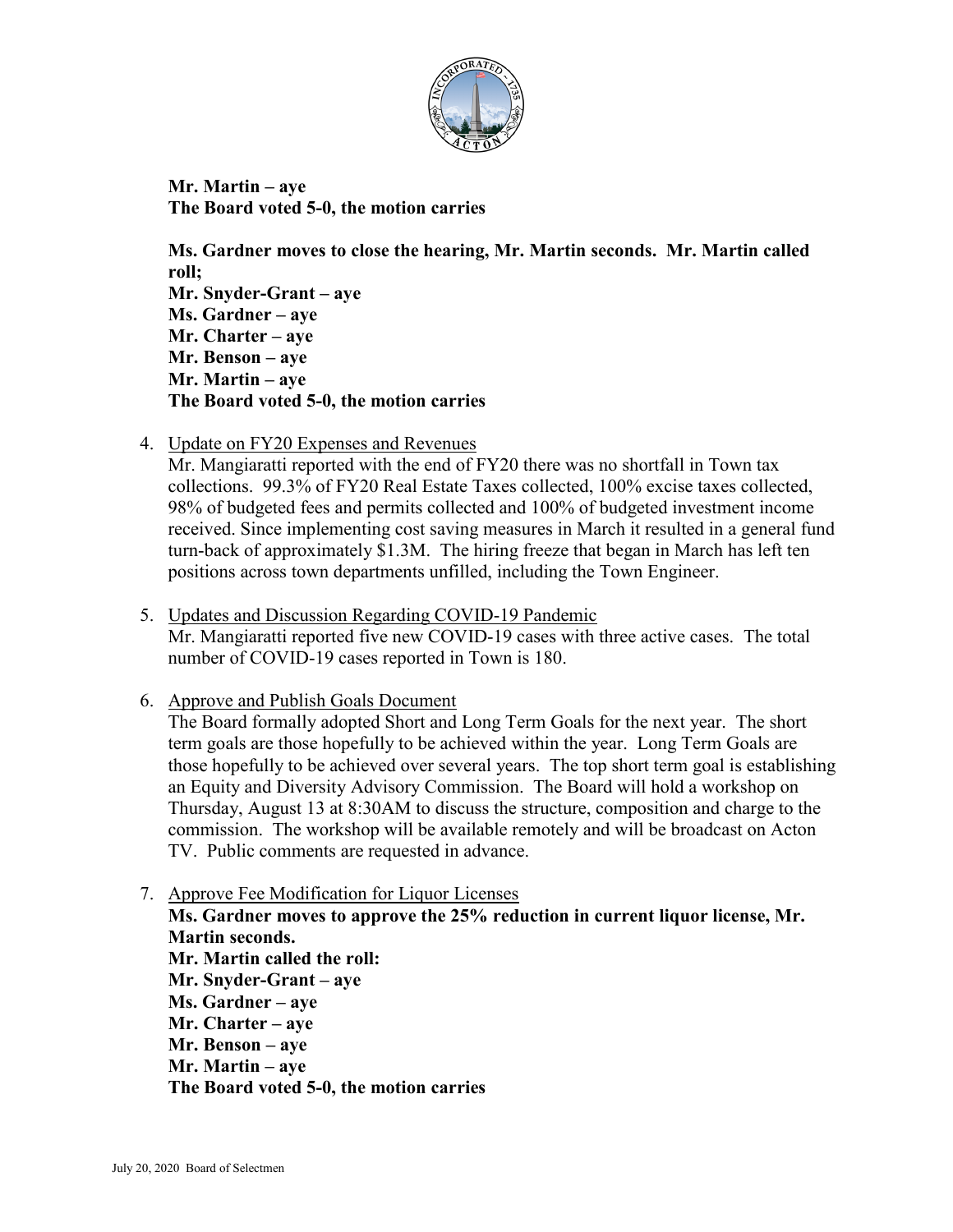

**Mr. Martin – aye The Board voted 5-0, the motion carries**

**Ms. Gardner moves to close the hearing, Mr. Martin seconds. Mr. Martin called roll; Mr. Snyder-Grant – aye Ms. Gardner – aye Mr. Charter – aye Mr. Benson – aye Mr. Martin – aye The Board voted 5-0, the motion carries**

4. Update on FY20 Expenses and Revenues

Mr. Mangiaratti reported with the end of FY20 there was no shortfall in Town tax collections. 99.3% of FY20 Real Estate Taxes collected, 100% excise taxes collected, 98% of budgeted fees and permits collected and 100% of budgeted investment income received. Since implementing cost saving measures in March it resulted in a general fund turn-back of approximately \$1.3M. The hiring freeze that began in March has left ten positions across town departments unfilled, including the Town Engineer.

- 5. Updates and Discussion Regarding COVID-19 Pandemic Mr. Mangiaratti reported five new COVID-19 cases with three active cases. The total number of COVID-19 cases reported in Town is 180.
- 6. Approve and Publish Goals Document

The Board formally adopted Short and Long Term Goals for the next year. The short term goals are those hopefully to be achieved within the year. Long Term Goals are those hopefully to be achieved over several years. The top short term goal is establishing an Equity and Diversity Advisory Commission. The Board will hold a workshop on Thursday, August 13 at 8:30AM to discuss the structure, composition and charge to the commission. The workshop will be available remotely and will be broadcast on Acton TV. Public comments are requested in advance.

7. Approve Fee Modification for Liquor Licenses

**Ms. Gardner moves to approve the 25% reduction in current liquor license, Mr. Martin seconds. Mr. Martin called the roll:**

- **Mr. Snyder-Grant – aye**
- **Ms. Gardner – aye**
- **Mr. Charter – aye**
- **Mr. Benson – aye**
- **Mr. Martin – aye**
- **The Board voted 5-0, the motion carries**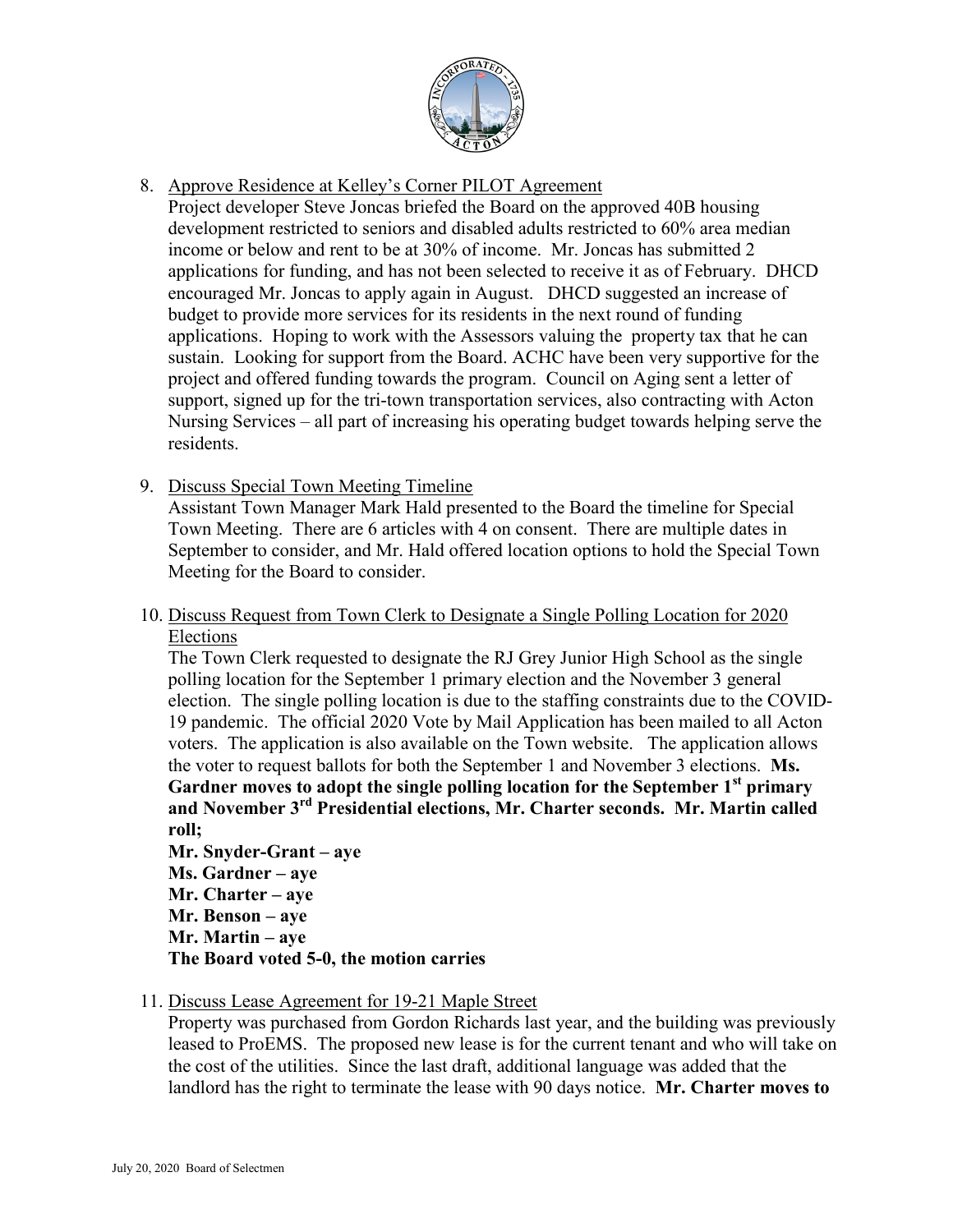

8. Approve Residence at Kelley's Corner PILOT Agreement

Project developer Steve Joncas briefed the Board on the approved 40B housing development restricted to seniors and disabled adults restricted to 60% area median income or below and rent to be at 30% of income. Mr. Joncas has submitted 2 applications for funding, and has not been selected to receive it as of February. DHCD encouraged Mr. Joncas to apply again in August. DHCD suggested an increase of budget to provide more services for its residents in the next round of funding applications. Hoping to work with the Assessors valuing the property tax that he can sustain. Looking for support from the Board. ACHC have been very supportive for the project and offered funding towards the program. Council on Aging sent a letter of support, signed up for the tri-town transportation services, also contracting with Acton Nursing Services – all part of increasing his operating budget towards helping serve the residents.

9. Discuss Special Town Meeting Timeline

Assistant Town Manager Mark Hald presented to the Board the timeline for Special Town Meeting. There are 6 articles with 4 on consent. There are multiple dates in September to consider, and Mr. Hald offered location options to hold the Special Town Meeting for the Board to consider.

10. Discuss Request from Town Clerk to Designate a Single Polling Location for 2020 Elections

The Town Clerk requested to designate the RJ Grey Junior High School as the single polling location for the September 1 primary election and the November 3 general election. The single polling location is due to the staffing constraints due to the COVID-19 pandemic. The official 2020 Vote by Mail Application has been mailed to all Acton voters. The application is also available on the Town website. The application allows the voter to request ballots for both the September 1 and November 3 elections. **Ms. Gardner moves to adopt the single polling location for the September 1st primary and November 3rd Presidential elections, Mr. Charter seconds. Mr. Martin called roll;**

**Mr. Snyder-Grant – aye Ms. Gardner – aye Mr. Charter – aye Mr. Benson – aye Mr. Martin – aye The Board voted 5-0, the motion carries**

11. Discuss Lease Agreement for 19-21 Maple Street

Property was purchased from Gordon Richards last year, and the building was previously leased to ProEMS. The proposed new lease is for the current tenant and who will take on the cost of the utilities. Since the last draft, additional language was added that the landlord has the right to terminate the lease with 90 days notice. **Mr. Charter moves to**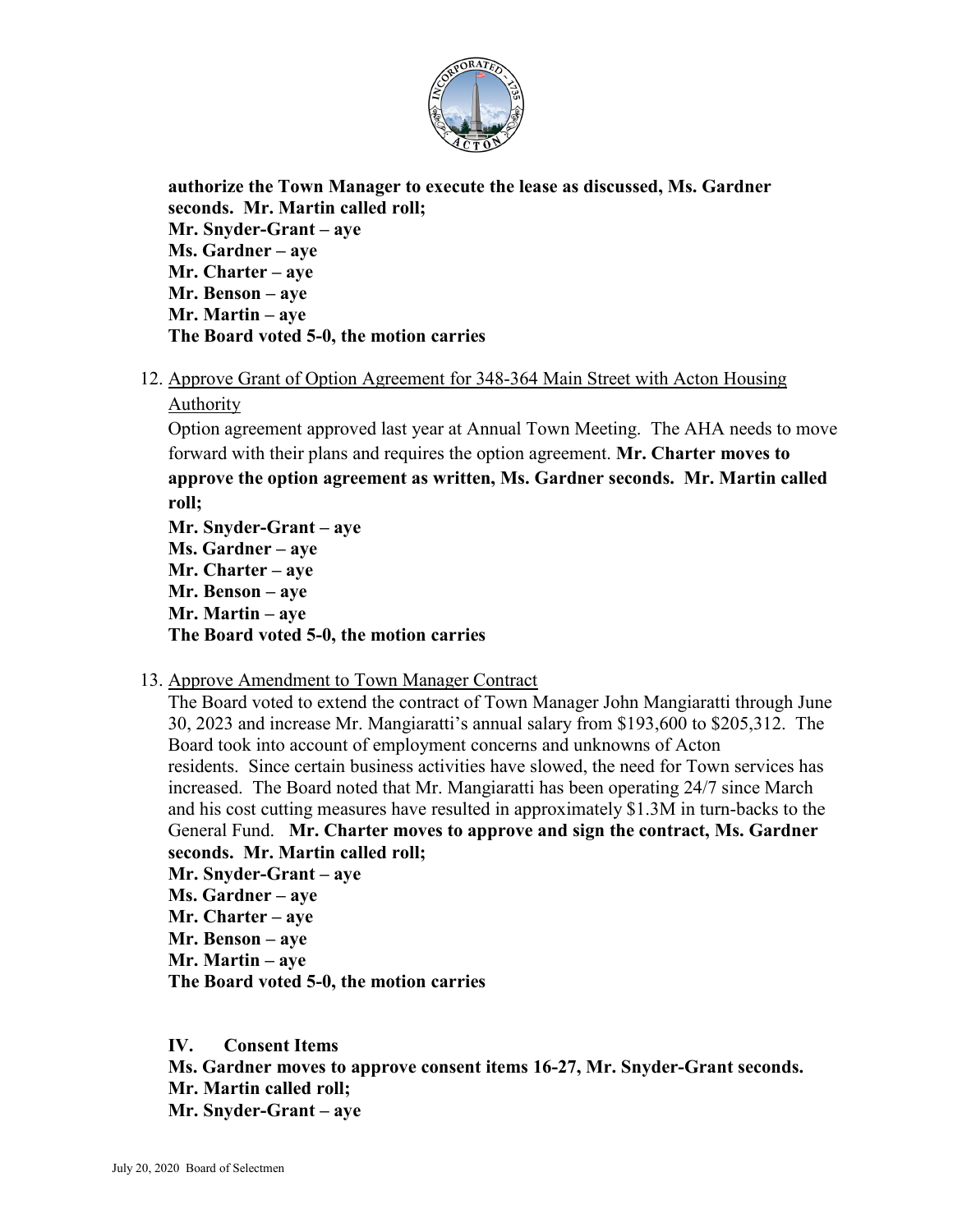

**authorize the Town Manager to execute the lease as discussed, Ms. Gardner seconds. Mr. Martin called roll; Mr. Snyder-Grant – aye Ms. Gardner – aye Mr. Charter – aye Mr. Benson – aye Mr. Martin – aye The Board voted 5-0, the motion carries**

12. Approve Grant of Option Agreement for 348-364 Main Street with Acton Housing Authority

Option agreement approved last year at Annual Town Meeting. The AHA needs to move forward with their plans and requires the option agreement. **Mr. Charter moves to approve the option agreement as written, Ms. Gardner seconds. Mr. Martin called roll;**

**Mr. Snyder-Grant – aye Ms. Gardner – aye Mr. Charter – aye Mr. Benson – aye Mr. Martin – aye The Board voted 5-0, the motion carries**

## 13. Approve Amendment to Town Manager Contract

The Board voted to extend the contract of Town Manager John Mangiaratti through June 30, 2023 and increase Mr. Mangiaratti's annual salary from \$193,600 to \$205,312. The Board took into account of employment concerns and unknowns of Acton residents. Since certain business activities have slowed, the need for Town services has increased. The Board noted that Mr. Mangiaratti has been operating 24/7 since March and his cost cutting measures have resulted in approximately \$1.3M in turn-backs to the General Fund. **Mr. Charter moves to approve and sign the contract, Ms. Gardner seconds. Mr. Martin called roll;**

**Mr. Snyder-Grant – aye Ms. Gardner – aye Mr. Charter – aye Mr. Benson – aye Mr. Martin – aye The Board voted 5-0, the motion carries**

## **IV. Consent Items**

**Ms. Gardner moves to approve consent items 16-27, Mr. Snyder-Grant seconds. Mr. Martin called roll;**

**Mr. Snyder-Grant – aye**